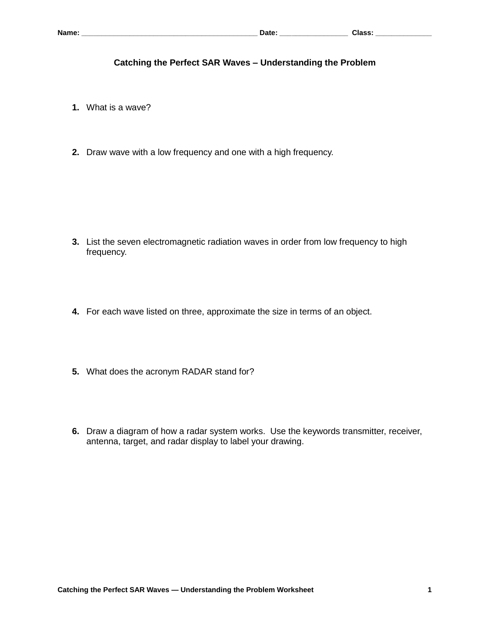## **Catching the Perfect SAR Waves – Understanding the Problem**

- **1.** What is a wave?
- **2.** Draw wave with a low frequency and one with a high frequency.

- **3.** List the seven electromagnetic radiation waves in order from low frequency to high frequency.
- **4.** For each wave listed on three, approximate the size in terms of an object.
- **5.** What does the acronym RADAR stand for?
- **6.** Draw a diagram of how a radar system works. Use the keywords transmitter, receiver, antenna, target, and radar display to label your drawing.